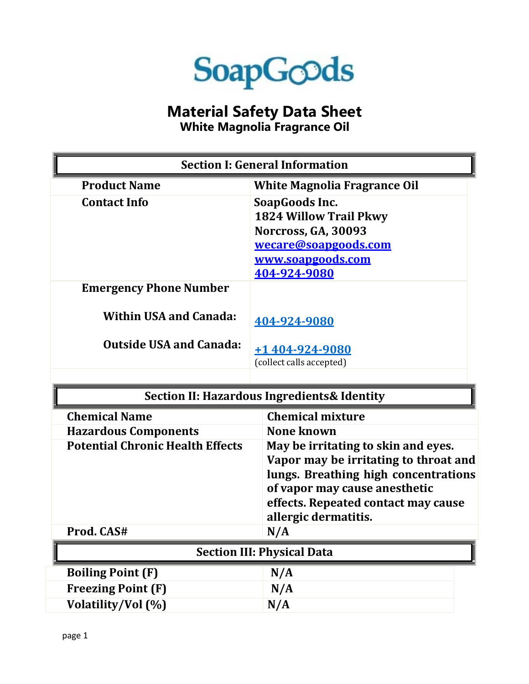

## **Material Safety Data Sheet**

**White Magnolia Fragrance Oil**

| <b>Section I: General Information</b>   |                                                                                                                                                                                                                      |
|-----------------------------------------|----------------------------------------------------------------------------------------------------------------------------------------------------------------------------------------------------------------------|
| <b>Product Name</b>                     | <b>White Magnolia Fragrance Oil</b>                                                                                                                                                                                  |
| <b>Contact Info</b>                     | SoapGoods Inc.<br><b>1824 Willow Trail Pkwy</b><br><b>Norcross, GA, 30093</b><br>wecare@soapgoods.com<br>www.soapgoods.com<br>404-924-9080                                                                           |
| <b>Emergency Phone Number</b>           |                                                                                                                                                                                                                      |
| <b>Within USA and Canada:</b>           | 404-924-9080                                                                                                                                                                                                         |
| <b>Outside USA and Canada:</b>          | +1 404-924-9080                                                                                                                                                                                                      |
|                                         | (collect calls accepted)                                                                                                                                                                                             |
|                                         |                                                                                                                                                                                                                      |
|                                         |                                                                                                                                                                                                                      |
|                                         | <b>Section II: Hazardous Ingredients &amp; Identity</b>                                                                                                                                                              |
| <b>Chemical Name</b>                    | <b>Chemical mixture</b>                                                                                                                                                                                              |
| <b>Hazardous Components</b>             | <b>None known</b>                                                                                                                                                                                                    |
| <b>Potential Chronic Health Effects</b> | May be irritating to skin and eyes.<br>Vapor may be irritating to throat and<br>lungs. Breathing high concentrations<br>of vapor may cause anesthetic<br>effects. Repeated contact may cause<br>allergic dermatitis. |
| Prod. CAS#                              | N/A                                                                                                                                                                                                                  |
|                                         | <b>Section III: Physical Data</b>                                                                                                                                                                                    |
| <b>Boiling Point (F)</b>                | N/A                                                                                                                                                                                                                  |
| <b>Freezing Point (F)</b>               | N/A                                                                                                                                                                                                                  |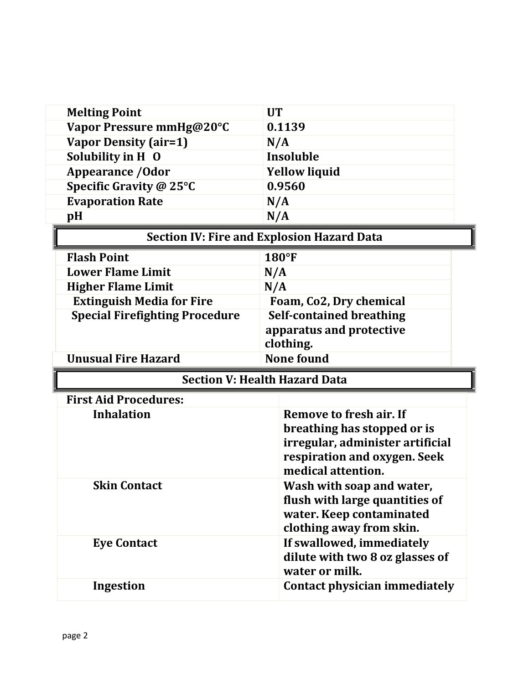| <b>Melting Point</b>                              | <b>UT</b>                                              |  |
|---------------------------------------------------|--------------------------------------------------------|--|
| Vapor Pressure mmHg@20°C                          | 0.1139                                                 |  |
| <b>Vapor Density (air=1)</b>                      | N/A                                                    |  |
| Solubility in H 0                                 | Insoluble                                              |  |
| <b>Appearance / Odor</b>                          | <b>Yellow liquid</b>                                   |  |
| Specific Gravity @ 25°C                           | 0.9560                                                 |  |
| <b>Evaporation Rate</b>                           | N/A                                                    |  |
| pH                                                | N/A                                                    |  |
| <b>Section IV: Fire and Explosion Hazard Data</b> |                                                        |  |
| <b>Flash Point</b>                                | $180°$ F                                               |  |
| <b>Lower Flame Limit</b>                          | N/A                                                    |  |
| <b>Higher Flame Limit</b>                         | N/A                                                    |  |
| <b>Extinguish Media for Fire</b>                  | Foam, Co2, Dry chemical                                |  |
| <b>Special Firefighting Procedure</b>             | <b>Self-contained breathing</b>                        |  |
|                                                   | apparatus and protective                               |  |
|                                                   | clothing.                                              |  |
|                                                   |                                                        |  |
| <b>Unusual Fire Hazard</b>                        | <b>None found</b>                                      |  |
|                                                   | <b>Section V: Health Hazard Data</b>                   |  |
| <b>First Aid Procedures:</b>                      |                                                        |  |
| <b>Inhalation</b>                                 | Remove to fresh air. If                                |  |
|                                                   | breathing has stopped or is                            |  |
|                                                   | irregular, administer artificial                       |  |
|                                                   | respiration and oxygen. Seek                           |  |
|                                                   | medical attention.                                     |  |
| <b>Skin Contact</b>                               | Wash with soap and water,                              |  |
|                                                   | flush with large quantities of                         |  |
|                                                   | water. Keep contaminated                               |  |
|                                                   | clothing away from skin.                               |  |
| <b>Eye Contact</b>                                | If swallowed, immediately                              |  |
|                                                   | dilute with two 8 oz glasses of                        |  |
| <b>Ingestion</b>                                  | water or milk.<br><b>Contact physician immediately</b> |  |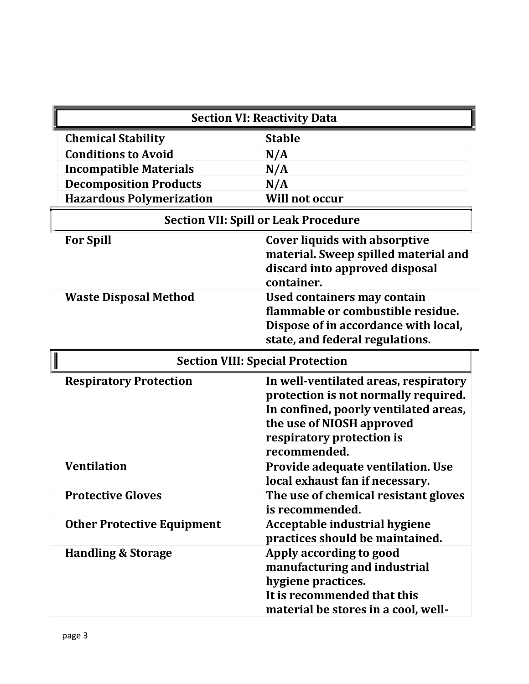| <b>Section VI: Reactivity Data</b>          |                                                                                                                                                                                                  |
|---------------------------------------------|--------------------------------------------------------------------------------------------------------------------------------------------------------------------------------------------------|
| <b>Chemical Stability</b>                   | <b>Stable</b>                                                                                                                                                                                    |
| <b>Conditions to Avoid</b>                  | N/A                                                                                                                                                                                              |
| <b>Incompatible Materials</b>               | N/A                                                                                                                                                                                              |
| <b>Decomposition Products</b>               | N/A                                                                                                                                                                                              |
| <b>Hazardous Polymerization</b>             | <b>Will not occur</b>                                                                                                                                                                            |
| <b>Section VII: Spill or Leak Procedure</b> |                                                                                                                                                                                                  |
| <b>For Spill</b>                            | <b>Cover liquids with absorptive</b><br>material. Sweep spilled material and<br>discard into approved disposal<br>container.                                                                     |
| <b>Waste Disposal Method</b>                | Used containers may contain<br>flammable or combustible residue.<br>Dispose of in accordance with local,<br>state, and federal regulations.                                                      |
| <b>Section VIII: Special Protection</b>     |                                                                                                                                                                                                  |
| <b>Respiratory Protection</b>               | In well-ventilated areas, respiratory<br>protection is not normally required.<br>In confined, poorly ventilated areas,<br>the use of NIOSH approved<br>respiratory protection is<br>recommended. |
| <b>Ventilation</b>                          | Provide adequate ventilation. Use<br>local exhaust fan if necessary.                                                                                                                             |
| <b>Protective Gloves</b>                    | The use of chemical resistant gloves<br>is recommended.                                                                                                                                          |
| <b>Other Protective Equipment</b>           | Acceptable industrial hygiene<br>practices should be maintained.                                                                                                                                 |
| <b>Handling &amp; Storage</b>               | Apply according to good<br>manufacturing and industrial<br>hygiene practices.<br>It is recommended that this<br>material be stores in a cool, well-                                              |